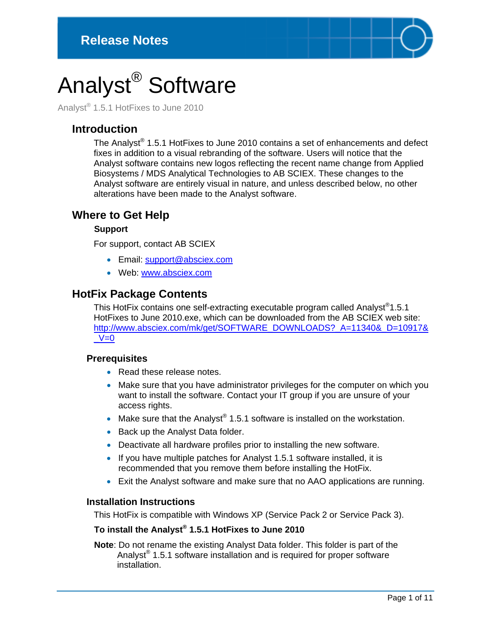

# Analyst® Software

Analyst® 1.5.1 HotFixes to June 2010

# **Introduction**

The Analyst® 1.5.1 HotFixes to June 2010 contains a set of enhancements and defect fixes in addition to a visual rebranding of the software. Users will notice that the Analyst software contains new logos reflecting the recent name change from Applied Biosystems / MDS Analytical Technologies to AB SCIEX. These changes to the Analyst software are entirely visual in nature, and unless described below, no other alterations have been made to the Analyst software.

# **Where to Get Help**

#### **Support**

For support, contact AB SCIEX

- Email: support@absciex.com
- Web: [www.absciex.com](http://www.absciex.com/)

# **HotFix Package Contents**

This HotFix contains one self-extracting executable program called Analyst®1.5.1 HotFixes to June 2010.exe, which can be downloaded from the AB SCIEX web site: [http://www.absciex.com/mk/get/SOFTWARE\\_DOWNLOADS?\\_A=11340&\\_D=10917&](http://www.absciex.com/mk/get/SOFTWARE_DOWNLOADS?_A=11340&_D=10917&_V=0)  $V=0$ 

#### **Prerequisites**

- Read these release notes.
- Make sure that you have administrator privileges for the computer on which you want to install the software. Contact your IT group if you are unsure of your access rights.
- Make sure that the Analyst® 1.5.1 software is installed on the workstation.
- Back up the Analyst Data folder.
- Deactivate all hardware profiles prior to installing the new software.
- If you have multiple patches for Analyst 1.5.1 software installed, it is recommended that you remove them before installing the HotFix.
- Exit the Analyst software and make sure that no AAO applications are running.

#### **Installation Instructions**

This HotFix is compatible with Windows XP (Service Pack 2 or Service Pack 3).

# **To install the Analyst® 1.5.1 HotFixes to June 2010**

**Note**: Do not rename the existing Analyst Data folder. This folder is part of the Analyst<sup>®</sup> 1.5.1 software installation and is required for proper software installation.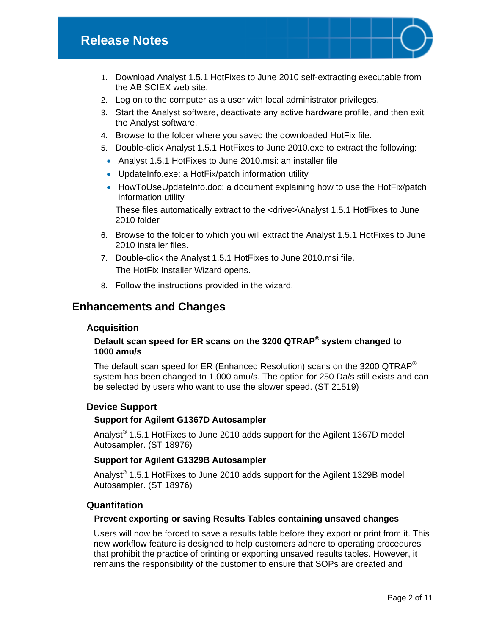# **Release Notes**

- 1. Download Analyst 1.5.1 HotFixes to June 2010 self-extracting executable from the AB SCIEX web site.
- 2. Log on to the computer as a user with local administrator privileges.
- 3. Start the Analyst software, deactivate any active hardware profile, and then exit the Analyst software.
- 4. Browse to the folder where you saved the downloaded HotFix file.
- 5. Double-click Analyst 1.5.1 HotFixes to June 2010.exe to extract the following:
- Analyst 1.5.1 HotFixes to June 2010.msi: an installer file
- UpdateInfo.exe: a HotFix/patch information utility
- HowToUseUpdateInfo.doc: a document explaining how to use the HotFix/patch information utility

These files automatically extract to the <drive>\Analyst 1.5.1 HotFixes to June 2010 folder

- 6. Browse to the folder to which you will extract the Analyst 1.5.1 HotFixes to June 2010 installer files.
- 7. Double-click the Analyst 1.5.1 HotFixes to June 2010.msi file. The HotFix Installer Wizard opens.
- 8. Follow the instructions provided in the wizard.

# **Enhancements and Changes**

#### **Acquisition**

#### **Default scan speed for ER scans on the 3200 QTRAP® system changed to 1000 amu/s**

The default scan speed for ER (Enhanced Resolution) scans on the 3200 QTRAP® system has been changed to 1,000 amu/s. The option for 250 Da/s still exists and can be selected by users who want to use the slower speed. (ST 21519)

#### **Device Support**

#### **Support for Agilent G1367D Autosampler**

Analyst® 1.5.1 HotFixes to June 2010 adds support for the Agilent 1367D model Autosampler. (ST 18976)

#### **Support for Agilent G1329B Autosampler**

Analyst<sup>®</sup> 1.5.1 HotFixes to June 2010 adds support for the Agilent 1329B model Autosampler. (ST 18976)

#### **Quantitation**

#### **Prevent exporting or saving Results Tables containing unsaved changes**

Users will now be forced to save a results table before they export or print from it. This new workflow feature is designed to help customers adhere to operating procedures that prohibit the practice of printing or exporting unsaved results tables. However, it remains the responsibility of the customer to ensure that SOPs are created and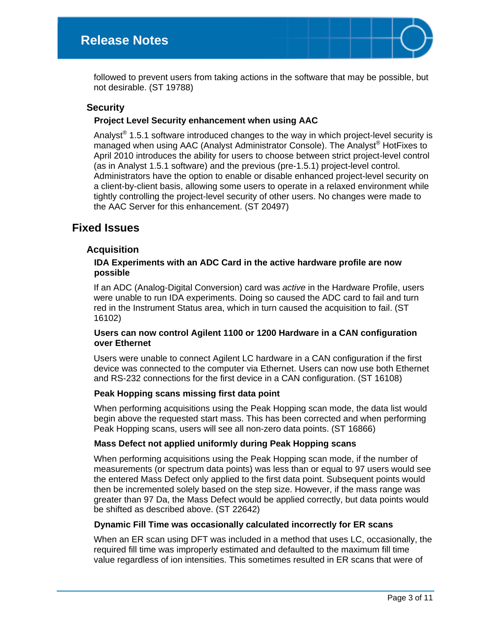followed to prevent users from taking actions in the software that may be possible, but not desirable. (ST 19788)

#### **Security**

#### **Project Level Security enhancement when using AAC**

Analyst<sup>®</sup> 1.5.1 software introduced changes to the way in which project-level security is managed when using AAC (Analyst Administrator Console). The Analyst® HotFixes to April 2010 introduces the ability for users to choose between strict project-level control (as in Analyst 1.5.1 software) and the previous (pre-1.5.1) project-level control. Administrators have the option to enable or disable enhanced project-level security on a client-by-client basis, allowing some users to operate in a relaxed environment while tightly controlling the project-level security of other users. No changes were made to the AAC Server for this enhancement. (ST 20497)

# **Fixed Issues**

#### **Acquisition**

#### **IDA Experiments with an ADC Card in the active hardware profile are now possible**

If an ADC (Analog-Digital Conversion) card was *active* in the Hardware Profile, users were unable to run IDA experiments. Doing so caused the ADC card to fail and turn red in the Instrument Status area, which in turn caused the acquisition to fail. (ST 16102)

#### **Users can now control Agilent 1100 or 1200 Hardware in a CAN configuration over Ethernet**

Users were unable to connect Agilent LC hardware in a CAN configuration if the first device was connected to the computer via Ethernet. Users can now use both Ethernet and RS-232 connections for the first device in a CAN configuration. (ST 16108)

#### **Peak Hopping scans missing first data point**

When performing acquisitions using the Peak Hopping scan mode, the data list would begin above the requested start mass. This has been corrected and when performing Peak Hopping scans, users will see all non-zero data points. (ST 16866)

#### **Mass Defect not applied uniformly during Peak Hopping scans**

When performing acquisitions using the Peak Hopping scan mode, if the number of measurements (or spectrum data points) was less than or equal to 97 users would see the entered Mass Defect only applied to the first data point. Subsequent points would then be incremented solely based on the step size. However, if the mass range was greater than 97 Da, the Mass Defect would be applied correctly, but data points would be shifted as described above. (ST 22642)

#### **Dynamic Fill Time was occasionally calculated incorrectly for ER scans**

When an ER scan using DFT was included in a method that uses LC, occasionally, the required fill time was improperly estimated and defaulted to the maximum fill time value regardless of ion intensities. This sometimes resulted in ER scans that were of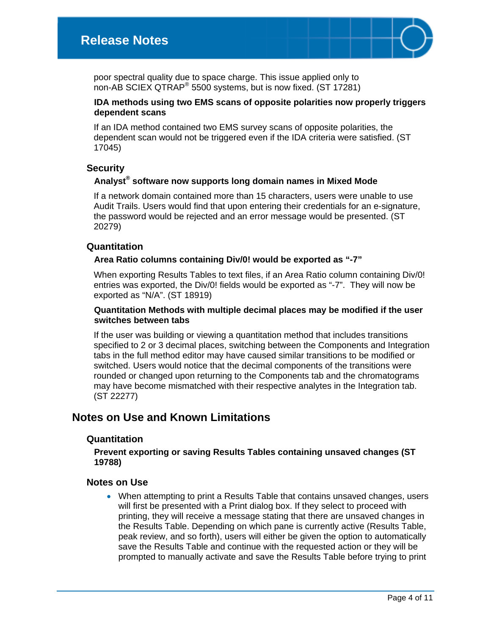

poor spectral quality due to space charge. This issue applied only to non-AB SCIEX QTRAP® 5500 systems, but is now fixed. (ST 17281)

#### **IDA methods using two EMS scans of opposite polarities now properly triggers dependent scans**

If an IDA method contained two EMS survey scans of opposite polarities, the dependent scan would not be triggered even if the IDA criteria were satisfied. (ST 17045)

#### **Security**

#### **Analyst® software now supports long domain names in Mixed Mode**

If a network domain contained more than 15 characters, users were unable to use Audit Trails. Users would find that upon entering their credentials for an e-signature, the password would be rejected and an error message would be presented. (ST 20279)

#### **Quantitation**

#### **Area Ratio columns containing Div/0! would be exported as "-7"**

When exporting Results Tables to text files, if an Area Ratio column containing Div/0! entries was exported, the Div/0! fields would be exported as "-7". They will now be exported as "N/A". (ST 18919)

#### **Quantitation Methods with multiple decimal places may be modified if the user switches between tabs**

If the user was building or viewing a quantitation method that includes transitions specified to 2 or 3 decimal places, switching between the Components and Integration tabs in the full method editor may have caused similar transitions to be modified or switched. Users would notice that the decimal components of the transitions were rounded or changed upon returning to the Components tab and the chromatograms may have become mismatched with their respective analytes in the Integration tab. (ST 22277)

# **Notes on Use and Known Limitations**

#### **Quantitation**

#### **Prevent exporting or saving Results Tables containing unsaved changes (ST 19788)**

#### **Notes on Use**

• When attempting to print a Results Table that contains unsaved changes, users will first be presented with a Print dialog box. If they select to proceed with printing, they will receive a message stating that there are unsaved changes in the Results Table. Depending on which pane is currently active (Results Table, peak review, and so forth), users will either be given the option to automatically save the Results Table and continue with the requested action or they will be prompted to manually activate and save the Results Table before trying to print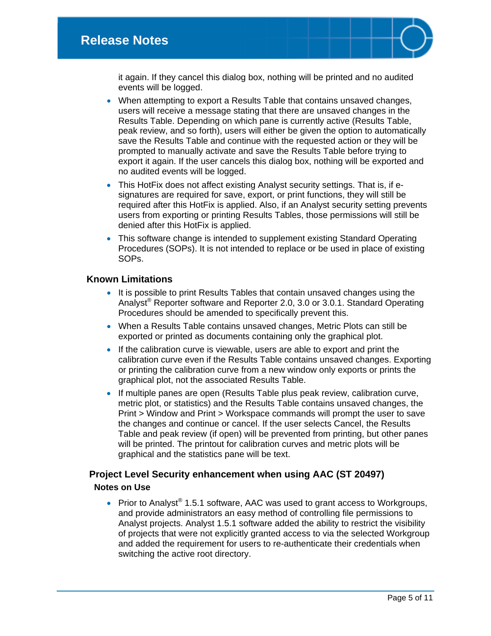it again. If they cancel this dialog box, nothing will be printed and no audited events will be logged.

- When attempting to export a Results Table that contains unsaved changes, users will receive a message stating that there are unsaved changes in the Results Table. Depending on which pane is currently active (Results Table, peak review, and so forth), users will either be given the option to automatically save the Results Table and continue with the requested action or they will be prompted to manually activate and save the Results Table before trying to export it again. If the user cancels this dialog box, nothing will be exported and no audited events will be logged.
- This HotFix does not affect existing Analyst security settings. That is, if esignatures are required for save, export, or print functions, they will still be required after this HotFix is applied. Also, if an Analyst security setting prevents users from exporting or printing Results Tables, those permissions will still be denied after this HotFix is applied.
- This software change is intended to supplement existing Standard Operating Procedures (SOPs). It is not intended to replace or be used in place of existing SOPs.

## **Known Limitations**

- It is possible to print Results Tables that contain unsaved changes using the Analyst® Reporter software and Reporter 2.0, 3.0 or 3.0.1. Standard Operating Procedures should be amended to specifically prevent this.
- When a Results Table contains unsaved changes, Metric Plots can still be exported or printed as documents containing only the graphical plot.
- If the calibration curve is viewable, users are able to export and print the calibration curve even if the Results Table contains unsaved changes. Exporting or printing the calibration curve from a new window only exports or prints the graphical plot, not the associated Results Table.
- If multiple panes are open (Results Table plus peak review, calibration curve, metric plot, or statistics) and the Results Table contains unsaved changes, the Print > Window and Print > Workspace commands will prompt the user to save the changes and continue or cancel. If the user selects Cancel, the Results Table and peak review (if open) will be prevented from printing, but other panes will be printed. The printout for calibration curves and metric plots will be graphical and the statistics pane will be text.

# **Project Level Security enhancement when using AAC (ST 20497) Notes on Use**

• Prior to Analyst<sup>®</sup> 1.5.1 software, AAC was used to grant access to Workgroups, and provide administrators an easy method of controlling file permissions to Analyst projects. Analyst 1.5.1 software added the ability to restrict the visibility of projects that were not explicitly granted access to via the selected Workgroup and added the requirement for users to re-authenticate their credentials when switching the active root directory.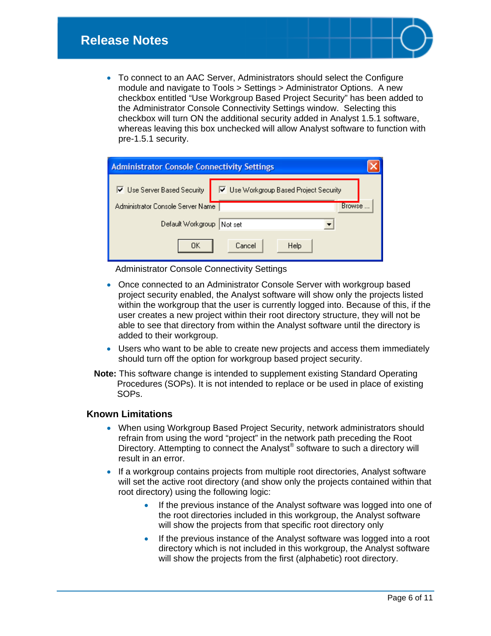

| <b>Administrator Console Connectivity Settings</b> |                                        |  |  |
|----------------------------------------------------|----------------------------------------|--|--|
| Ⅳ Use Server Based Security                        | ☑ Use Workgroup Based Project Security |  |  |
| Administrator Console Server Name                  | Browse                                 |  |  |
| Default Workgroup                                  | Not set                                |  |  |
| OΚ                                                 | Cancel<br>Help                         |  |  |

Administrator Console Connectivity Settings

- Once connected to an Administrator Console Server with workgroup based project security enabled, the Analyst software will show only the projects listed within the workgroup that the user is currently logged into. Because of this, if the user creates a new project within their root directory structure, they will not be able to see that directory from within the Analyst software until the directory is added to their workgroup.
- Users who want to be able to create new projects and access them immediately should turn off the option for workgroup based project security.
- **Note:** This software change is intended to supplement existing Standard Operating Procedures (SOPs). It is not intended to replace or be used in place of existing SOPs.

#### **Known Limitations**

- When using Workgroup Based Project Security, network administrators should refrain from using the word "project" in the network path preceding the Root Directory. Attempting to connect the Analyst<sup>®</sup> software to such a directory will result in an error.
- If a workgroup contains projects from multiple root directories, Analyst software will set the active root directory (and show only the projects contained within that root directory) using the following logic:
	- If the previous instance of the Analyst software was logged into one of the root directories included in this workgroup, the Analyst software will show the projects from that specific root directory only
	- If the previous instance of the Analyst software was logged into a root directory which is not included in this workgroup, the Analyst software will show the projects from the first (alphabetic) root directory.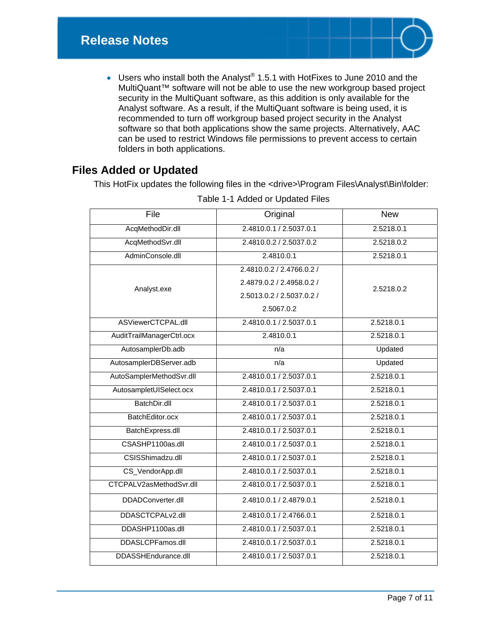

• Users who install both the Analyst® 1.5.1 with HotFixes to June 2010 and the MultiQuant™ software will not be able to use the new workgroup based project security in the MultiQuant software, as this addition is only available for the Analyst software. As a result, if the MultiQuant software is being used, it is recommended to turn off workgroup based project security in the Analyst software so that both applications show the same projects. Alternatively, AAC can be used to restrict Windows file permissions to prevent access to certain folders in both applications.

# **Files Added or Updated**

This HotFix updates the following files in the <drive>\Program Files\Analyst\Bin\folder:

| File                      | Original                  | <b>New</b> |
|---------------------------|---------------------------|------------|
| AcqMethodDir.dll          | 2.4810.0.1 / 2.5037.0.1   | 2.5218.0.1 |
| AcqMethodSvr.dll          | 2.4810.0.2 / 2.5037.0.2   | 2.5218.0.2 |
| AdminConsole.dll          | 2.4810.0.1                | 2.5218.0.1 |
| Analyst.exe               | 2.4810.0.2 / 2.4766.0.2 / | 2.5218.0.2 |
|                           | 2.4879.0.2 / 2.4958.0.2 / |            |
|                           | 2.5013.0.2 / 2.5037.0.2 / |            |
|                           | 2.5067.0.2                |            |
| ASViewerCTCPAL.dll        | 2.4810.0.1 / 2.5037.0.1   | 2.5218.0.1 |
| AuditTrailManagerCtrl.ocx | 2.4810.0.1                | 2.5218.0.1 |
| AutosamplerDb.adb         | n/a                       | Updated    |
| AutosamplerDBServer.adb   | n/a                       | Updated    |
| AutoSamplerMethodSvr.dll  | 2.4810.0.1 / 2.5037.0.1   | 2.5218.0.1 |
| AutosampletUISelect.ocx   | 2.4810.0.1 / 2.5037.0.1   | 2.5218.0.1 |
| BatchDir.dll              | 2.4810.0.1 / 2.5037.0.1   | 2.5218.0.1 |
| BatchEditor.ocx           | 2.4810.0.1 / 2.5037.0.1   | 2.5218.0.1 |
| BatchExpress.dll          | 2.4810.0.1 / 2.5037.0.1   | 2.5218.0.1 |
| CSASHP1100as.dll          | 2.4810.0.1 / 2.5037.0.1   | 2.5218.0.1 |
| CSISShimadzu.dll          | 2.4810.0.1 / 2.5037.0.1   | 2.5218.0.1 |
| CS_VendorApp.dll          | 2.4810.0.1 / 2.5037.0.1   | 2.5218.0.1 |
| CTCPALV2asMethodSvr.dll   | 2.4810.0.1 / 2.5037.0.1   | 2.5218.0.1 |
| DDADConverter.dll         | 2.4810.0.1 / 2.4879.0.1   | 2.5218.0.1 |
| DDASCTCPALv2.dll          | 2.4810.0.1 / 2.4766.0.1   | 2.5218.0.1 |
| DDASHP1100as.dll          | 2.4810.0.1 / 2.5037.0.1   | 2.5218.0.1 |
| DDASLCPFamos.dll          | 2.4810.0.1 / 2.5037.0.1   | 2.5218.0.1 |
| DDASSHEndurance.dll       | 2.4810.0.1 / 2.5037.0.1   | 2.5218.0.1 |

Table 1-1 Added or Updated Files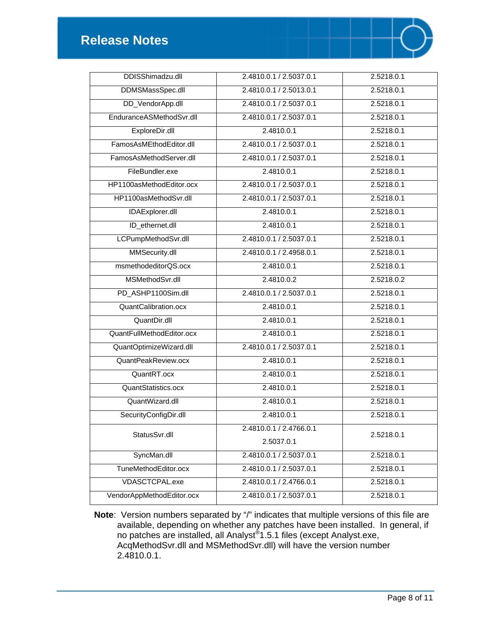

| DDISShimadzu.dll          | 2.4810.0.1 / 2.5037.0.1 | 2.5218.0.1              |
|---------------------------|-------------------------|-------------------------|
| DDMSMassSpec.dll          | 2.4810.0.1 / 2.5013.0.1 | 2.5218.0.1              |
| DD_VendorApp.dll          | 2.4810.0.1 / 2.5037.0.1 | 2.5218.0.1              |
| EnduranceASMethodSvr.dll  | 2.4810.0.1 / 2.5037.0.1 | 2.5218.0.1              |
| ExploreDir.dll            | 2.4810.0.1              | 2.5218.0.1              |
| FamosAsMEthodEditor.dll   | 2.4810.0.1 / 2.5037.0.1 | 2.5218.0.1              |
| FamosAsMethodServer.dll   | 2.4810.0.1 / 2.5037.0.1 | 2.5218.0.1              |
| FileBundler.exe           | 2.4810.0.1              | 2.5218.0.1              |
| HP1100asMethodEditor.ocx  | 2.4810.0.1 / 2.5037.0.1 | 2.5218.0.1              |
| HP1100asMethodSvr.dll     | 2.4810.0.1 / 2.5037.0.1 | 2.5218.0.1              |
| <b>IDAExplorer.dll</b>    | 2.4810.0.1              | 2.5218.0.1              |
| ID_ethernet.dll           | 2.4810.0.1              | 2.5218.0.1              |
| LCPumpMethodSvr.dll       | 2.4810.0.1 / 2.5037.0.1 | 2.5218.0.1              |
| MMSecurity.dll            | 2.4810.0.1 / 2.4958.0.1 | 2.5218.0.1              |
| msmethodeditorQS.ocx      | 2.4810.0.1              | 2.5218.0.1              |
| MSMethodSvr.dll           | 2.4810.0.2              | 2.5218.0.2              |
| PD_ASHP1100Sim.dll        | 2.4810.0.1 / 2.5037.0.1 | 2.5218.0.1              |
| QuantCalibration.ocx      | 2.4810.0.1              | 2.5218.0.1              |
| QuantDir.dll              | 2.4810.0.1              | 2.5218.0.1              |
| QuantFullMethodEditor.ocx | 2.4810.0.1              | 2.5218.0.1              |
| QuantOptimizeWizard.dll   | 2.4810.0.1 / 2.5037.0.1 | 2.5218.0.1              |
| QuantPeakReview.ocx       | 2.4810.0.1              | 2.5218.0.1              |
| QuantRT.ocx               | 2.4810.0.1              | 2.5218.0.1              |
| QuantStatistics.ocx       | 2.4810.0.1              | 2.5218.0.1              |
| QuantWizard.dll           | 2.4810.0.1              | 2.5218.0.1              |
| SecurityConfigDir.dll     | 2.4810.0.1              | 2.5218.0.1              |
| StatusSvr.dll             | 2.4810.0.1 / 2.4766.0.1 | 2.5218.0.1              |
|                           | 2.5037.0.1              |                         |
| SyncMan.dll               | 2.4810.0.1 / 2.5037.0.1 | $2.\overline{5218.0.1}$ |
| TuneMethodEditor.ocx      | 2.4810.0.1 / 2.5037.0.1 | 2.5218.0.1              |
| VDASCTCPAL.exe            | 2.4810.0.1 / 2.4766.0.1 | 2.5218.0.1              |
| VendorAppMethodEditor.ocx | 2.4810.0.1 / 2.5037.0.1 | 2.5218.0.1              |

**Note**: Version numbers separated by "/" indicates that multiple versions of this file are available, depending on whether any patches have been installed. In general, if no patches are installed, all Analyst®1.5.1 files (except Analyst.exe, AcqMethodSvr.dll and MSMethodSvr.dll) will have the version number 2.4810.0.1.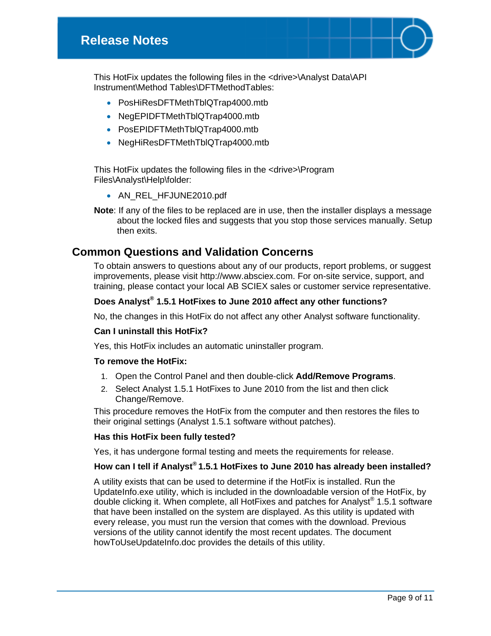This HotFix updates the following files in the <drive>\Analyst Data\API Instrument\Method Tables\DFTMethodTables:

- PosHiResDFTMethTblQTrap4000.mtb
- NegEPIDFTMethTblQTrap4000.mtb
- PosEPIDFTMethTblQTrap4000.mtb
- NegHiResDFTMethTblQTrap4000.mtb

This HotFix updates the following files in the <drive>\Program Files\Analyst\Help\folder:

- AN\_REL\_HFJUNE2010.pdf
- **Note**: If any of the files to be replaced are in use, then the installer displays a message about the locked files and suggests that you stop those services manually. Setup then exits.

# **Common Questions and Validation Concerns**

To obtain answers to questions about any of our products, report problems, or suggest improvements, please visit http://www.absciex.com. For on-site service, support, and training, please contact your local AB SCIEX sales or customer service representative.

#### **Does Analyst® 1.5.1 HotFixes to June 2010 affect any other functions?**

No, the changes in this HotFix do not affect any other Analyst software functionality.

#### **Can I uninstall this HotFix?**

Yes, this HotFix includes an automatic uninstaller program.

#### **To remove the HotFix:**

- 1. Open the Control Panel and then double-click **Add/Remove Programs**.
- 2. Select Analyst 1.5.1 HotFixes to June 2010 from the list and then click Change/Remove.

This procedure removes the HotFix from the computer and then restores the files to their original settings (Analyst 1.5.1 software without patches).

#### **Has this HotFix been fully tested?**

Yes, it has undergone formal testing and meets the requirements for release.

#### **How can I tell if Analyst® 1.5.1 HotFixes to June 2010 has already been installed?**

A utility exists that can be used to determine if the HotFix is installed. Run the UpdateInfo.exe utility, which is included in the downloadable version of the HotFix, by double clicking it. When complete, all HotFixes and patches for Analyst® 1.5.1 software that have been installed on the system are displayed. As this utility is updated with every release, you must run the version that comes with the download. Previous versions of the utility cannot identify the most recent updates. The document howToUseUpdateInfo.doc provides the details of this utility.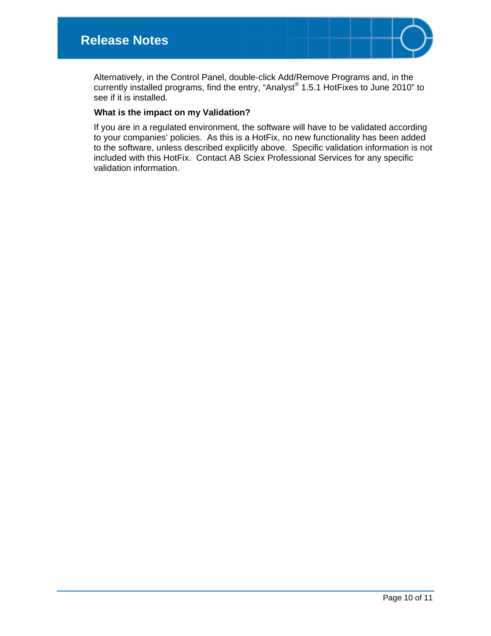

Alternatively, in the Control Panel, double-click Add/Remove Programs and, in the currently installed programs, find the entry, "Analyst® 1.5.1 HotFixes to June 2010" to see if it is installed.

#### **What is the impact on my Validation?**

If you are in a regulated environment, the software will have to be validated according to your companies' policies. As this is a HotFix, no new functionality has been added to the software, unless described explicitly above. Specific validation information is not included with this HotFix. Contact AB Sciex Professional Services for any specific validation information.